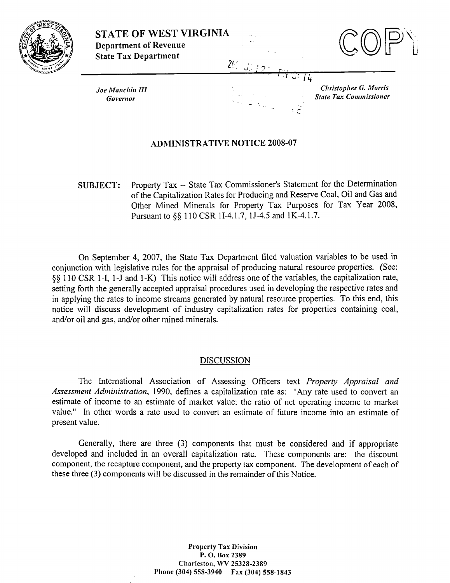

**STATE OF WEST VIRGINIA Department of Revenue State Tax Department** 



**Christopher G. Morris** 

**State Tax Commissioner** 

**Joe Manchin III** Governor

# **ADMINISTRATIVE NOTICE 2008-07**

 $2<sup>c</sup>$ 

Property Tax -- State Tax Commissioner's Statement for the Determination **SUBJECT:** of the Capitalization Rates for Producing and Reserve Coal, Oil and Gas and Other Mined Minerals for Property Tax Purposes for Tax Year 2008, Pursuant to §§ 110 CSR 1I-4.1.7, 1J-4.5 and 1K-4.1.7.

On September 4, 2007, the State Tax Department filed valuation variables to be used in conjunction with legislative rules for the appraisal of producing natural resource properties. (See: §§ 110 CSR 1-I, 1-J and 1-K) This notice will address one of the variables, the capitalization rate, setting forth the generally accepted appraisal procedures used in developing the respective rates and in applying the rates to income streams generated by natural resource properties. To this end, this notice will discuss development of industry capitalization rates for properties containing coal, and/or oil and gas, and/or other mined minerals.

# **DISCUSSION**

The International Association of Assessing Officers text Property Appraisal and Assessment Administration, 1990, defines a capitalization rate as: "Any rate used to convert an estimate of income to an estimate of market value; the ratio of net operating income to market value." In other words a rate used to convert an estimate of future income into an estimate of present value.

Generally, there are three (3) components that must be considered and if appropriate developed and included in an overall capitalization rate. These components are: the discount component, the recapture component, and the property tax component. The development of each of these three (3) components will be discussed in the remainder of this Notice.

> **Property Tax Division** P.O. Box 2389 Charleston, WV 25328-2389 Phone (304) 558-3940 Fax (304) 558-1843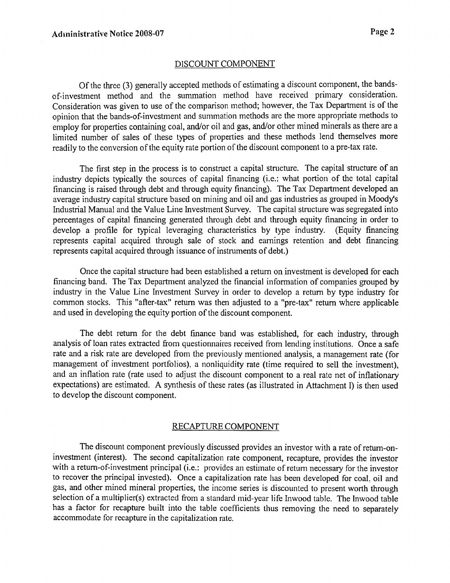# DISCOUNT COMPONENT

Of the three (3) generally accepted methods of estimating a discount component, the bandsof-investment method and the summation method have received primary consideration. Consideration was given to use of the comparison method; however, the Tax Department is of the opinion that the bands-of-investment and summation methods are the more appropriate methods to employ for properties containing coal, and/or oil and gas, and/or other mined minerals as there are a limited number of sales of these types of properties and these methods lend themselves more readily to the conversion of the equity rate portion of the discount component to a pre-tax rate.

The first step in the process is to construct a capital structure. The capital structure of an industry depicts typically the sources of capital financing (i.e.: what portion of the total capital financing is raised through debt and through equity financing). The Tax Department developed an average industry capital structure based on mining and oil and gas industries as grouped in Moody's Industrial Manual and the Value Line Investment Survey. The capital structure was segregated into percentages of capital financing generated through debt and through equity financing in order to develop a profile for typical leveraging characteristics by type industry. (Equity financing represents capital acquired through sale of stock and earnings retention and debt financing represents capital acquired through issuance of instruments of debt.)

Once the capital structure had been established a return on investment is developed for each financing band. The Tau Department analyzed the financial information of companies grouped by industry in the Value Line Investment Survey in order to develop a return by type industry for common stocks. This "after-tax" return was then adjusted to a "pre-tax" return where applicable and used in developing the equity portion of the discount component.

The debt return for the debt finance band was established, for each industry, through analysis of loan rates extracted fiom questionnaires received from lending institutions. Once a safe rate and a risk rate are developed fiom the previously mentioned analysis, a management rate (for management of investment portfolios). a nonliquidity rate (time required to sell the investment), and an inflation rate (rate used to adjust the discount component to a real rate net of inflationary expectations) are estimated. A synthesis of these rates (as illustrated in Attachment I) is then used to develop the discount component.

## RECAPTURE COMPONENT

The discount component previously discussed provides an investor with a rate of return-oninvestment (interest). The second capitalization rate component, recapture, provides the investor with a return-of-investment principal (i.e.: provides an estimate of return necessary for the investor to recover the principal invested). Once a capitalization rate has been developed for coal. oil and gas, and other mined mineral properties, the income series is discounted to present worth through selection of a mulliplier(s) extracted from a standard mid-year life Inwood table. The Inwood table has a factor for recapture built into the table coefficients thus removing the need to separately accommodate for recapture in the capitalization rate.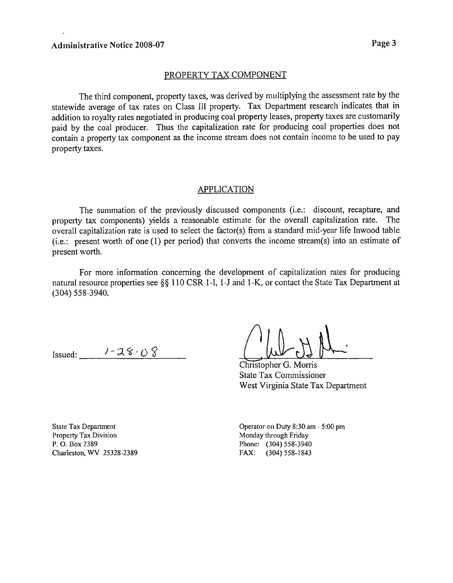## PROPERTY TAX COMPONENT

The third component, property taxes, was derived by multiplying the assessment rate by the statewide average of tax rates on Class 111 property. Tax Department research indicates that in addition to royalty rates negotiated in producing coal property leases, property taxes are customarily paid by the coal producer. Thus the capitalization rate for producing coal properties does not contain a property tax component as the income stream does not contain income to be used to pay property taxes.

# APPLICATION

The summation of the previously discussed components (i.e.: discount, recapture, and property tax components) yields a reasonable estimate for the overall capitalization rate. The overall capitalization rate is used to select the factor(s) from a standard mid-year life Inwood table  $(i.e.:$  present worth of one  $(1)$  per period) that converts the income stream $(s)$  into an estimate of present worth.

For more information concerning the development of capitalization rates for producing natural resource properties see **\$8** 110 CSR 1-1, 1-J and I-K, or contact the State Tax Department at (304) 558-3940.

Issued:  $1 - 28 - 08$ 

Christopher G. Morris State Tax Commissioner West Virginia State Tax Department

State **Tax** Department Property Tax Division P. 0. Box 2389 Charleston, WV 25328-2389

Operator on Duty 8:30 am - 5:00 pm Monday through Friday Phone: (304) 558-3940 FAX: (304) 558- 1843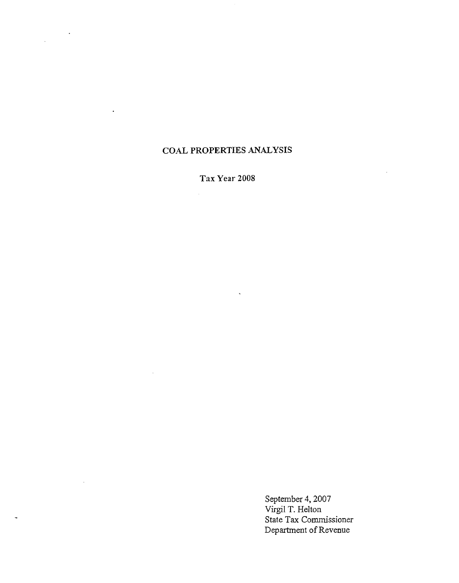# **COAL PROPERTIES ANALYSIS**

 $\ddot{\phantom{a}}$ 

 $\ddot{\phantom{a}}$ 

 $\mathcal{L}_{\mathcal{A}}$ 

**Tax** *Yeax-* **2008** 

 $\ddot{\phantom{0}}$ 

September 4,2007 Virgil T. Helton State Tax Commissioner Department of Revenue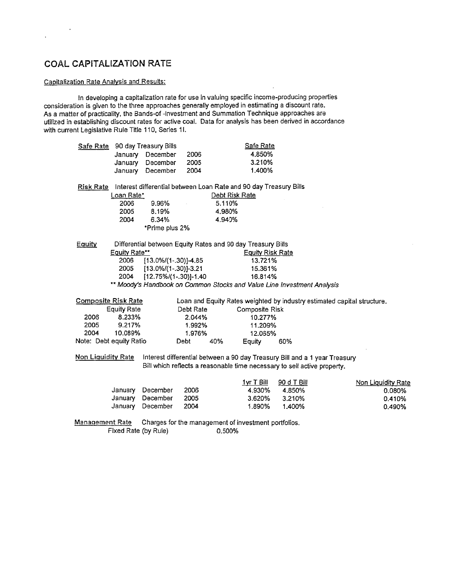# **COAL CAPITALIZATION KATE**

 $\mathcal{L}^{\text{max}}_{\text{max}}$ 

 $\ddot{\phantom{a}}$ 

## Capitalization Rate Analvsis and Results:

In developing a capitalization rate for use in valuing specific income-producing properties consideration is given to the three approaches generally employed in estimating a discount rate. As a matter of practicality, the Bands-of -Investment and Summation Technique approaches are utilized in establishing discount rates for active coal. Data for analysis has been derived in accordance? with currsnt Legislative Rule Title **1 10,** Series **1** I.

| Safe Rate              |                            | 90 day Treasury Bills                                             |                          |                                                      | Safe Rate               |                                                                            |                                                                         |
|------------------------|----------------------------|-------------------------------------------------------------------|--------------------------|------------------------------------------------------|-------------------------|----------------------------------------------------------------------------|-------------------------------------------------------------------------|
|                        | January                    | December                                                          | 2006                     |                                                      | 4.850%                  |                                                                            |                                                                         |
|                        | January                    | December                                                          | 2005                     |                                                      | 3.210%                  |                                                                            |                                                                         |
|                        | January                    | December                                                          | 2004                     |                                                      | 1.400%                  |                                                                            |                                                                         |
| Risk Rate              |                            | Interest differential between Loan Rate and 90 day Treasury Bills |                          |                                                      |                         |                                                                            |                                                                         |
|                        | Loan Rate*                 |                                                                   |                          | Debt Risk Rate                                       |                         |                                                                            |                                                                         |
|                        | 2006                       | 9.96%                                                             |                          | 5.110%                                               |                         |                                                                            |                                                                         |
|                        | 2005                       | 8.19%                                                             |                          | 4.980%                                               |                         |                                                                            |                                                                         |
|                        | 2004                       | 6.34%                                                             |                          | 4.940%                                               |                         |                                                                            |                                                                         |
|                        |                            | *Prime plus 2%                                                    |                          |                                                      |                         |                                                                            |                                                                         |
| Equity                 |                            | Differential between Equity Rates and 90 day Treasury Bills       |                          |                                                      |                         |                                                                            |                                                                         |
|                        | Equity Rate**              |                                                                   |                          |                                                      | <b>Equity Risk Rate</b> |                                                                            |                                                                         |
|                        | 2006                       | $[13.0\%/1-.30)]-4.85$                                            |                          |                                                      | 13.721%                 |                                                                            |                                                                         |
|                        | 2005                       | [13.0%/(1-.30)]-3.21                                              |                          |                                                      | 15.361%                 |                                                                            |                                                                         |
|                        | 2004                       |                                                                   | $[12.75\%/1-.30] - 1.40$ |                                                      | 16.814%                 |                                                                            |                                                                         |
|                        |                            |                                                                   |                          |                                                      |                         | ** Moody's Handbook on Common Stocks and Value Line Investment Analysis    |                                                                         |
|                        |                            |                                                                   |                          |                                                      |                         |                                                                            |                                                                         |
|                        | <b>Composite Risk Rate</b> |                                                                   |                          |                                                      |                         |                                                                            | Loan and Equity Rates weighted by industry estimated capital structure. |
|                        | <b>Equity Rate</b>         |                                                                   | Debt Rate                |                                                      | <b>Composite Risk</b>   |                                                                            |                                                                         |
| 2006                   | 8.233%                     |                                                                   | 2.044%                   |                                                      | 10.277%                 |                                                                            |                                                                         |
| 2005                   | 9.217%                     |                                                                   | 1.992%                   |                                                      | 11.209%                 |                                                                            |                                                                         |
| 2004                   | 10.089%                    |                                                                   | 1.976%                   |                                                      | 12.065%                 |                                                                            |                                                                         |
|                        | Note: Debt equity Ratio    |                                                                   | Debt                     | 40%                                                  | Equity                  | 60%                                                                        |                                                                         |
|                        | <b>Non Liquidity Rate</b>  |                                                                   |                          |                                                      |                         | Interest differential between a 90 day Treasury Bill and a 1 year Treasury |                                                                         |
|                        |                            |                                                                   |                          |                                                      |                         | Bill which reflects a reasonable time necessary to sell active property.   |                                                                         |
|                        |                            |                                                                   |                          |                                                      | $1yr$ T Bill            | 90 d T Bill                                                                | Non Liquidity Rate                                                      |
|                        | January                    | December                                                          | 2006                     |                                                      | 4.930%                  | 4.850%                                                                     | 0.080%                                                                  |
|                        |                            | January December                                                  | 2005                     |                                                      | 3.620%                  | 3.210%                                                                     | 0.410%                                                                  |
|                        |                            | January December                                                  | 2004                     |                                                      | 1.890%                  | 1.400%                                                                     | 0.490%                                                                  |
| <b>Management Rate</b> |                            |                                                                   |                          | Charges for the management of investment portfolios. |                         |                                                                            |                                                                         |
|                        | Fixed Rate (by Rule)       |                                                                   |                          | 0.500%                                               |                         |                                                                            |                                                                         |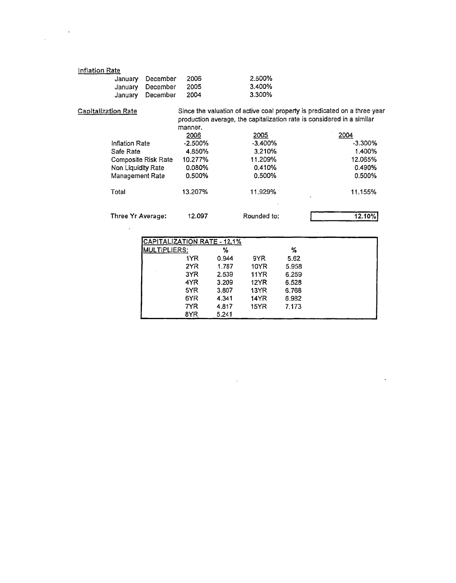| Inflation Rate             |                    |                     |            |                                                                           |            |
|----------------------------|--------------------|---------------------|------------|---------------------------------------------------------------------------|------------|
|                            | January            | December            | 2006       | 2.500%                                                                    |            |
|                            | January            | December            | 2005       | 3.400%                                                                    |            |
|                            | January            | December            | 2004       | 3.300%                                                                    |            |
| <b>Capitalization Rate</b> |                    |                     |            | Since the valuation of active coal property is predicated on a three year |            |
|                            |                    |                     |            | production average, the capitalization rate is considered in a similar    |            |
|                            |                    |                     | manner.    |                                                                           |            |
|                            |                    |                     | 2006       | 2005                                                                      | 2004       |
|                            | Inflation Rate     |                     | $-2.500\%$ | $-3.400%$                                                                 | $-3.300\%$ |
|                            | Safe Rate          |                     | 4.850%     | 3.210%                                                                    | 1.400%     |
|                            |                    | Composite Risk Rate | 10.277%    | 11.209%                                                                   | 12.065%    |
|                            | Non Liquidity Rate |                     | $0.080\%$  | 0.410%                                                                    | 0.490%     |
|                            | Management Rate    |                     | 0.500%     | $0.500\%$                                                                 | $0.500\%$  |
|                            | Total              |                     | 13.207%    | 11.929%                                                                   | 11.155%    |

Three Yr Average: 12.097 Rounded to: 12.10%

 $\ddot{\phantom{0}}$ 

 $\bar{\mathcal{A}}$ 

 $\sim$ 

 $\ddot{\phantom{0}}$ 

| CAPITALIZATION RATE - 12.1% |       |             |       |  |
|-----------------------------|-------|-------------|-------|--|
| MULTIPLIERS:                | %     |             | %     |  |
| 1YR                         | 0.944 | 9YR         | 5.62  |  |
| 2YR                         | 1.787 | 10YR        | 5.958 |  |
| 3YR                         | 2.539 | <b>11YR</b> | 6.259 |  |
| 4YR                         | 3.209 | 12YR        | 6.528 |  |
| 5YR                         | 3.807 | 13YR        | 6.768 |  |
| 6YR                         | 4.341 | 14YR        | 6.932 |  |
| 7YR                         | 4.817 | 15YR        | 7.173 |  |
| 8YR                         | 5.241 |             |       |  |

 $\bar{z}$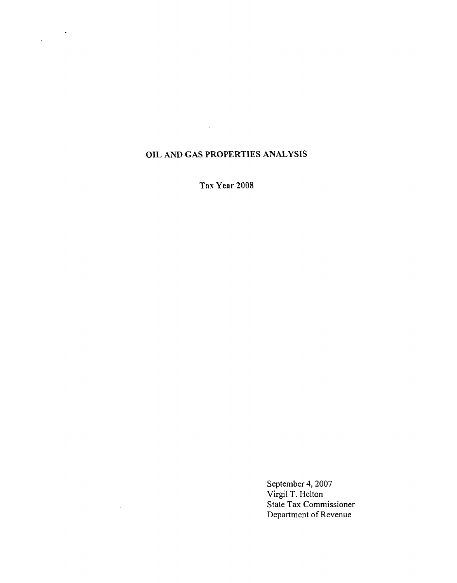# **OIL** AND **GAS PROPERTIES ANALYSIS**

 $\mathcal{L}^{\text{max}}_{\text{max}}$  and  $\mathcal{L}^{\text{max}}_{\text{max}}$ 

 $\frac{1}{\sqrt{2}}\left(\frac{1}{\sqrt{2}}\right)^{2}+\frac{1}{\sqrt{2}}\left(\frac{1}{\sqrt{2}}\right)^{2}$ 

**Tax Year 2008** 

September 4, 2007 Virgil T. Helton State **Tax** Commissioner Department of Revenue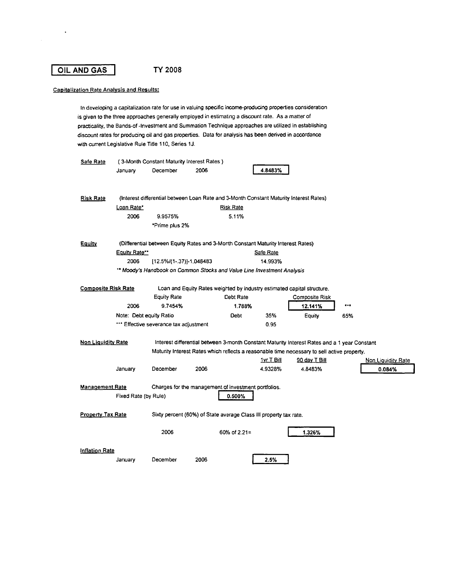# I **OIL AND GAS** I TY **<sup>2008</sup>**

 $\ddot{\phantom{a}}$ 

#### Capitalization Rate Analysis and Results:

In developing a capitalization rate for use in valuing specific income-producing properties considerabon is given to the three approaches generally employed in estimating a discount rate. As a matter of practicality, the Bands-of -Investment and Summation Technique approaches are utilized in establishing discount rates for producing oil and gas properties. Data for analysis has been derived in accordance with current Legislative Rule Title 110, Series 1J.

| Safe Rate                  |                         | (3-Month Constant Maturity Interest Rates)                                             |      |                  |                   |                                                                                              |     |                    |
|----------------------------|-------------------------|----------------------------------------------------------------------------------------|------|------------------|-------------------|----------------------------------------------------------------------------------------------|-----|--------------------|
|                            | January                 | December                                                                               | 2006 |                  | 4.8483%           |                                                                                              |     |                    |
|                            |                         |                                                                                        |      |                  |                   |                                                                                              |     |                    |
|                            |                         |                                                                                        |      |                  |                   |                                                                                              |     |                    |
| <b>Risk Rate</b>           |                         | (Interest differential between Loan Rate and 3-Month Constant Maturity Interest Rates) |      |                  |                   |                                                                                              |     |                    |
|                            | Loan Rate*              |                                                                                        |      | <u>Risk Rate</u> |                   |                                                                                              |     |                    |
|                            | 2006                    | 9.9575%                                                                                |      | 5.11%            |                   |                                                                                              |     |                    |
|                            |                         | *Prime plus 2%                                                                         |      |                  |                   |                                                                                              |     |                    |
| Equity                     |                         | (Differential between Equity Rates and 3-Month Constant Maturity Interest Rates)       |      |                  |                   |                                                                                              |     |                    |
|                            | Equity Rate**           |                                                                                        |      |                  | Safe Rate         |                                                                                              |     |                    |
|                            | 2006                    | [12.5%/(1-.37)]-1.048483                                                               |      |                  | 14.993%           |                                                                                              |     |                    |
|                            |                         | ** Moody's Handbook on Common Stocks and Value Line Investment Analysis                |      |                  |                   |                                                                                              |     |                    |
|                            |                         |                                                                                        |      |                  |                   |                                                                                              |     |                    |
| <b>Composite Risk Rate</b> |                         |                                                                                        |      |                  |                   | Loan and Equity Rates weighted by industry estimated capital structure.                      |     |                    |
|                            |                         | <b>Equity Rate</b>                                                                     |      | Debt Rate        |                   | Composite Risk                                                                               |     |                    |
|                            | 2006                    | 9.7454%                                                                                |      | 1.788%           |                   | 12.141%                                                                                      |     |                    |
|                            | Note: Debt equity Ratio |                                                                                        |      | Debt             | 35%               | Equity                                                                                       | 65% |                    |
|                            |                         | *** Effective severance tax adjustment                                                 |      |                  | 0.95              |                                                                                              |     |                    |
|                            |                         |                                                                                        |      |                  |                   |                                                                                              |     |                    |
| <b>Non Liquidity Rate</b>  |                         |                                                                                        |      |                  |                   | Interest differential between 3-month Constant Maturity Interest Rates and a 1 year Constant |     |                    |
|                            |                         |                                                                                        |      |                  |                   | Maturity Interest Rates which reflects a reasonable time necessary to sell active property.  |     |                    |
|                            |                         |                                                                                        |      |                  | <u>1vr T Bill</u> | 90 day T Bill                                                                                |     | Non Liquidity Rate |
|                            | January                 | December                                                                               | 2006 |                  | 4.9328%           | 4.8483%                                                                                      |     | 0.084%             |
|                            |                         |                                                                                        |      |                  |                   |                                                                                              |     |                    |
| <b>Management Rate</b>     |                         | Charges for the management of investment portfolios.                                   |      |                  |                   |                                                                                              |     |                    |
|                            | Fixed Rate (by Rule)    |                                                                                        |      | 0.500%           |                   |                                                                                              |     |                    |
|                            |                         |                                                                                        |      |                  |                   |                                                                                              |     |                    |
| <b>Property Tax Rate</b>   |                         | Sixty percent (60%) of State average Class III property tax rate.                      |      |                  |                   |                                                                                              |     |                    |
|                            |                         | 2006                                                                                   |      | 60% of 2.21=     |                   | 1.326%                                                                                       |     |                    |
|                            |                         |                                                                                        |      |                  |                   |                                                                                              |     |                    |
| Inflation Rate             |                         |                                                                                        |      |                  |                   |                                                                                              |     |                    |
|                            | January                 | December                                                                               | 2006 |                  | 2.5%              |                                                                                              |     |                    |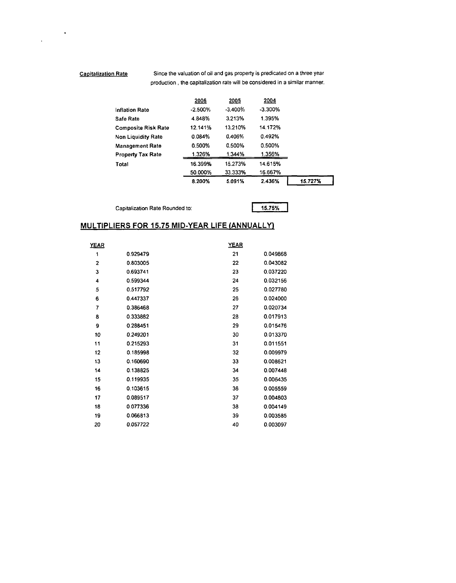$\ddot{\phantom{0}}$ 

 $\bar{\mathbf{r}}$ 

Capitalization Rate Since the valuation of oil and gas property is predicated on a three year **production** , **the capitalization rate will be considered in a similar manner.** 

| ı Rate                     |            |           |            | Since the valuation of oil and gas property is predicated on a three year<br>production, the capitalization rate will be considered in a similar manner. |
|----------------------------|------------|-----------|------------|----------------------------------------------------------------------------------------------------------------------------------------------------------|
|                            | 2006       | 2005      | 2004       |                                                                                                                                                          |
| <b>Inflation Rate</b>      | $-2.500\%$ | $-3.400%$ | $-3.300\%$ |                                                                                                                                                          |
| Safe Rate                  | 4.848%     | 3.213%    | 1.395%     |                                                                                                                                                          |
| <b>Composite Risk Rate</b> | 12.141%    | 13.210%   | 14.172%    |                                                                                                                                                          |
| <b>Non Liquidity Rate</b>  | 0.084%     | 0.406%    | 0.492%     |                                                                                                                                                          |
| <b>Management Rate</b>     | 0.500%     | 0.500%    | 0.500%     |                                                                                                                                                          |
| <b>Property Tax Rate</b>   | 1.326%     | 1.344%    | 1.356%     |                                                                                                                                                          |
| Total                      | 16.399%    | 15.273%   | 14.615%    |                                                                                                                                                          |
|                            | 50.000%    | 33.333%   | 16.667%    |                                                                                                                                                          |
|                            | 8.200%     | 5.091%    | 2.436%     | 15.727%                                                                                                                                                  |

**Capitalization Rate Rounded to:** 

#### **MULTIPLIERS FOR 15.75 MID-YEAR LIFE (ANNUALLY)**

|             | Capitalization Rate Rounded to: |                                                      | 15.75%   |
|-------------|---------------------------------|------------------------------------------------------|----------|
|             |                                 | <u>JLTIPLIERS FOR 15.75 MID-YEAR LIFE (ANNUALLY)</u> |          |
| <b>YEAR</b> |                                 | <b>YEAR</b>                                          |          |
| 1           | 0.929479                        | 21                                                   | 0.049868 |
| 2           | 0.803005                        | 22                                                   | 0.043082 |
| 3           | 0.693741                        | 23                                                   | 0.037220 |
| 4           | 0.599344                        | 24                                                   | 0.032156 |
| 5           | 0.517792                        | 25                                                   | 0.027780 |
| 6           | 0.447337                        | 26                                                   | 0.024000 |
| 7           | 0.386468                        | 27                                                   | 0.020734 |
| 8           | 0.333882                        | 28                                                   | 0.017913 |
| 9           | 0.288451                        | 29                                                   | 0.015476 |
| 10          | 0.249201                        | 30                                                   | 0.013370 |
| 11          | 0.215293                        | 31                                                   | 0.011551 |
| 12          | 0.185998                        | 32                                                   | 0.009979 |
| 13          | 0.160690                        | 33                                                   | 0.008621 |
| 14          | 0.138825                        | 34                                                   | 0.007448 |
| 15          | 0.119935                        | 35                                                   | 0.006435 |
| 16          | 0.103615                        | 36                                                   | 0.005559 |
| 17          | 0.089517                        | 37                                                   | 0.004803 |
| 18          | 0.077336                        | 38                                                   | 0.004149 |
| 19          | 0.066813                        | 39                                                   | 0.003585 |
| 20          | 0.057722                        | 40                                                   | 0.003097 |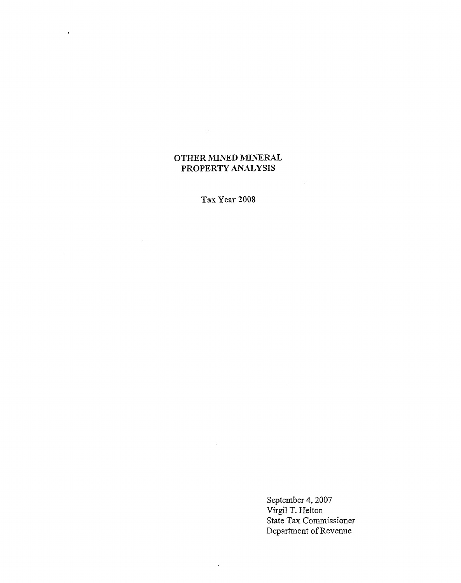# **OTHER MINED MINERAL PROPERTY ANALYSIS**

 $\sim 10^{-1}$ 

 $\sim$ 

 $\mathbb{Z}_2$ 

 $\ddot{\phantom{a}}$ 

**Tax Year 2008** 

 $\ddot{\phantom{a}}$ 

September 4,2007 Virgil T. Helton State Tax Commissioner Department of Revenue

 $\mathcal{A}^{\mathcal{A}}$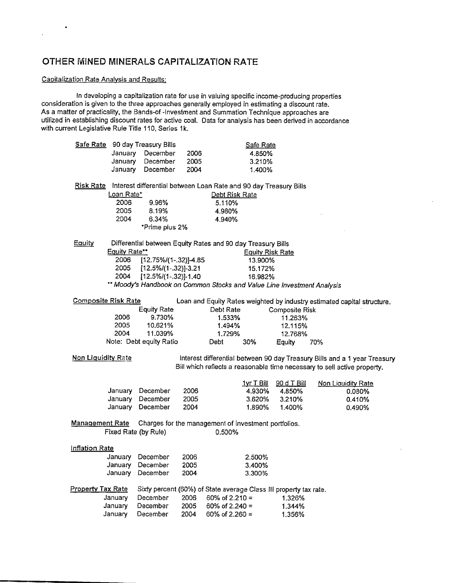# OTHER MINED MINERALS CAPITALIZATION RATE

#### Capitalization Rate Analysis and Results:

 $\bullet$ 

In developing a capitalization rate for use in valuing specific income-producing properties consideration is given to the three approaches generally employed in estimating a discount rate. As a matter of practicality, the Bands-of -Investment and Summation Technique approaches are utilized in establishing discount rates for active coal. Data for analysis has been derived in accordance with current Legislative Rule Title 110, Series 1k.

| January<br>December<br>2006<br>4.850%<br>January<br>December<br>2005<br>3.210%<br>January<br>December<br>2004<br>1.400%<br>Risk Rate Interest differential between Loan Rate and 90 day Treasury Bills<br>Loan Rate*<br>Debt Risk Rate<br>2006<br>9.96%<br>5.110%<br>2005<br>8.19%<br>4.980%<br>2004<br>6.34%<br>4.940%<br>*Prime plus 2%<br>Eauity<br>Differential between Equity Rates and 90 day Treasury Bills<br>Equity Rate**<br><b>Equity Risk Rate</b><br>2006<br>$[12.75\%/1-.32]$ ]-4.85<br>13.900%<br>2005<br>$[12.5\%/1-.32]$ -3.21<br>15.172%<br>2004<br>$[12.5\%/1-.32]$ -1.40<br>16.982%<br>** Moody's Handbook on Common Stocks and Value Line Investment Analysis<br><b>Composite Risk Rate</b><br>Loan and Equity Rates weighted by industry estimated capital structure.<br>Debt Rate<br><b>Equity Rate</b><br>Composite Risk<br>2006<br>9.730%<br>1.533%<br>11.263%<br>2005<br>10.621%<br>1.494%<br>12.115%<br>2004<br>11.039%<br>1.729%<br>12.768%<br>Note: Debt equity Ratio<br>30%<br>Debt.<br>70%<br>Equity<br><b>Non Liguidity Rate</b><br>Interest differential between 90 day Treasury Bills and a 1 year Treasury<br>Bill which reflects a reasonable time necessary to sell active property.<br>90 d T Bill<br><u>1yr T Bill</u><br><b>Non Liquidity Rate</b><br>January<br>December<br>2006<br>4.930%<br>4.850%<br>0.080%<br>December<br>January<br>2005<br>3.620%<br>3.210%<br>0.410%<br>December<br>January<br>2004<br>1.890%<br>1.400%<br>0.490%<br>Management Rate<br>Charges for the management of investment portfolios.<br>Fixed Rate (by Rule)<br>0.500% | Safe Rate 90 day Treasury Bills |  | Safe Rate |  |
|------------------------------------------------------------------------------------------------------------------------------------------------------------------------------------------------------------------------------------------------------------------------------------------------------------------------------------------------------------------------------------------------------------------------------------------------------------------------------------------------------------------------------------------------------------------------------------------------------------------------------------------------------------------------------------------------------------------------------------------------------------------------------------------------------------------------------------------------------------------------------------------------------------------------------------------------------------------------------------------------------------------------------------------------------------------------------------------------------------------------------------------------------------------------------------------------------------------------------------------------------------------------------------------------------------------------------------------------------------------------------------------------------------------------------------------------------------------------------------------------------------------------------------------------------------------------------------------------|---------------------------------|--|-----------|--|
|                                                                                                                                                                                                                                                                                                                                                                                                                                                                                                                                                                                                                                                                                                                                                                                                                                                                                                                                                                                                                                                                                                                                                                                                                                                                                                                                                                                                                                                                                                                                                                                                |                                 |  |           |  |
|                                                                                                                                                                                                                                                                                                                                                                                                                                                                                                                                                                                                                                                                                                                                                                                                                                                                                                                                                                                                                                                                                                                                                                                                                                                                                                                                                                                                                                                                                                                                                                                                |                                 |  |           |  |
|                                                                                                                                                                                                                                                                                                                                                                                                                                                                                                                                                                                                                                                                                                                                                                                                                                                                                                                                                                                                                                                                                                                                                                                                                                                                                                                                                                                                                                                                                                                                                                                                |                                 |  |           |  |
|                                                                                                                                                                                                                                                                                                                                                                                                                                                                                                                                                                                                                                                                                                                                                                                                                                                                                                                                                                                                                                                                                                                                                                                                                                                                                                                                                                                                                                                                                                                                                                                                |                                 |  |           |  |
|                                                                                                                                                                                                                                                                                                                                                                                                                                                                                                                                                                                                                                                                                                                                                                                                                                                                                                                                                                                                                                                                                                                                                                                                                                                                                                                                                                                                                                                                                                                                                                                                |                                 |  |           |  |
|                                                                                                                                                                                                                                                                                                                                                                                                                                                                                                                                                                                                                                                                                                                                                                                                                                                                                                                                                                                                                                                                                                                                                                                                                                                                                                                                                                                                                                                                                                                                                                                                |                                 |  |           |  |
|                                                                                                                                                                                                                                                                                                                                                                                                                                                                                                                                                                                                                                                                                                                                                                                                                                                                                                                                                                                                                                                                                                                                                                                                                                                                                                                                                                                                                                                                                                                                                                                                |                                 |  |           |  |
|                                                                                                                                                                                                                                                                                                                                                                                                                                                                                                                                                                                                                                                                                                                                                                                                                                                                                                                                                                                                                                                                                                                                                                                                                                                                                                                                                                                                                                                                                                                                                                                                |                                 |  |           |  |
|                                                                                                                                                                                                                                                                                                                                                                                                                                                                                                                                                                                                                                                                                                                                                                                                                                                                                                                                                                                                                                                                                                                                                                                                                                                                                                                                                                                                                                                                                                                                                                                                |                                 |  |           |  |
|                                                                                                                                                                                                                                                                                                                                                                                                                                                                                                                                                                                                                                                                                                                                                                                                                                                                                                                                                                                                                                                                                                                                                                                                                                                                                                                                                                                                                                                                                                                                                                                                |                                 |  |           |  |
|                                                                                                                                                                                                                                                                                                                                                                                                                                                                                                                                                                                                                                                                                                                                                                                                                                                                                                                                                                                                                                                                                                                                                                                                                                                                                                                                                                                                                                                                                                                                                                                                |                                 |  |           |  |
|                                                                                                                                                                                                                                                                                                                                                                                                                                                                                                                                                                                                                                                                                                                                                                                                                                                                                                                                                                                                                                                                                                                                                                                                                                                                                                                                                                                                                                                                                                                                                                                                |                                 |  |           |  |
|                                                                                                                                                                                                                                                                                                                                                                                                                                                                                                                                                                                                                                                                                                                                                                                                                                                                                                                                                                                                                                                                                                                                                                                                                                                                                                                                                                                                                                                                                                                                                                                                |                                 |  |           |  |
|                                                                                                                                                                                                                                                                                                                                                                                                                                                                                                                                                                                                                                                                                                                                                                                                                                                                                                                                                                                                                                                                                                                                                                                                                                                                                                                                                                                                                                                                                                                                                                                                |                                 |  |           |  |
|                                                                                                                                                                                                                                                                                                                                                                                                                                                                                                                                                                                                                                                                                                                                                                                                                                                                                                                                                                                                                                                                                                                                                                                                                                                                                                                                                                                                                                                                                                                                                                                                |                                 |  |           |  |
|                                                                                                                                                                                                                                                                                                                                                                                                                                                                                                                                                                                                                                                                                                                                                                                                                                                                                                                                                                                                                                                                                                                                                                                                                                                                                                                                                                                                                                                                                                                                                                                                |                                 |  |           |  |
|                                                                                                                                                                                                                                                                                                                                                                                                                                                                                                                                                                                                                                                                                                                                                                                                                                                                                                                                                                                                                                                                                                                                                                                                                                                                                                                                                                                                                                                                                                                                                                                                |                                 |  |           |  |
|                                                                                                                                                                                                                                                                                                                                                                                                                                                                                                                                                                                                                                                                                                                                                                                                                                                                                                                                                                                                                                                                                                                                                                                                                                                                                                                                                                                                                                                                                                                                                                                                |                                 |  |           |  |
|                                                                                                                                                                                                                                                                                                                                                                                                                                                                                                                                                                                                                                                                                                                                                                                                                                                                                                                                                                                                                                                                                                                                                                                                                                                                                                                                                                                                                                                                                                                                                                                                |                                 |  |           |  |
|                                                                                                                                                                                                                                                                                                                                                                                                                                                                                                                                                                                                                                                                                                                                                                                                                                                                                                                                                                                                                                                                                                                                                                                                                                                                                                                                                                                                                                                                                                                                                                                                |                                 |  |           |  |
|                                                                                                                                                                                                                                                                                                                                                                                                                                                                                                                                                                                                                                                                                                                                                                                                                                                                                                                                                                                                                                                                                                                                                                                                                                                                                                                                                                                                                                                                                                                                                                                                |                                 |  |           |  |
|                                                                                                                                                                                                                                                                                                                                                                                                                                                                                                                                                                                                                                                                                                                                                                                                                                                                                                                                                                                                                                                                                                                                                                                                                                                                                                                                                                                                                                                                                                                                                                                                |                                 |  |           |  |
|                                                                                                                                                                                                                                                                                                                                                                                                                                                                                                                                                                                                                                                                                                                                                                                                                                                                                                                                                                                                                                                                                                                                                                                                                                                                                                                                                                                                                                                                                                                                                                                                |                                 |  |           |  |
|                                                                                                                                                                                                                                                                                                                                                                                                                                                                                                                                                                                                                                                                                                                                                                                                                                                                                                                                                                                                                                                                                                                                                                                                                                                                                                                                                                                                                                                                                                                                                                                                |                                 |  |           |  |
|                                                                                                                                                                                                                                                                                                                                                                                                                                                                                                                                                                                                                                                                                                                                                                                                                                                                                                                                                                                                                                                                                                                                                                                                                                                                                                                                                                                                                                                                                                                                                                                                |                                 |  |           |  |
|                                                                                                                                                                                                                                                                                                                                                                                                                                                                                                                                                                                                                                                                                                                                                                                                                                                                                                                                                                                                                                                                                                                                                                                                                                                                                                                                                                                                                                                                                                                                                                                                |                                 |  |           |  |
|                                                                                                                                                                                                                                                                                                                                                                                                                                                                                                                                                                                                                                                                                                                                                                                                                                                                                                                                                                                                                                                                                                                                                                                                                                                                                                                                                                                                                                                                                                                                                                                                |                                 |  |           |  |
|                                                                                                                                                                                                                                                                                                                                                                                                                                                                                                                                                                                                                                                                                                                                                                                                                                                                                                                                                                                                                                                                                                                                                                                                                                                                                                                                                                                                                                                                                                                                                                                                |                                 |  |           |  |
|                                                                                                                                                                                                                                                                                                                                                                                                                                                                                                                                                                                                                                                                                                                                                                                                                                                                                                                                                                                                                                                                                                                                                                                                                                                                                                                                                                                                                                                                                                                                                                                                |                                 |  |           |  |
|                                                                                                                                                                                                                                                                                                                                                                                                                                                                                                                                                                                                                                                                                                                                                                                                                                                                                                                                                                                                                                                                                                                                                                                                                                                                                                                                                                                                                                                                                                                                                                                                |                                 |  |           |  |
|                                                                                                                                                                                                                                                                                                                                                                                                                                                                                                                                                                                                                                                                                                                                                                                                                                                                                                                                                                                                                                                                                                                                                                                                                                                                                                                                                                                                                                                                                                                                                                                                |                                 |  |           |  |
|                                                                                                                                                                                                                                                                                                                                                                                                                                                                                                                                                                                                                                                                                                                                                                                                                                                                                                                                                                                                                                                                                                                                                                                                                                                                                                                                                                                                                                                                                                                                                                                                |                                 |  |           |  |
|                                                                                                                                                                                                                                                                                                                                                                                                                                                                                                                                                                                                                                                                                                                                                                                                                                                                                                                                                                                                                                                                                                                                                                                                                                                                                                                                                                                                                                                                                                                                                                                                |                                 |  |           |  |
| Inflation Rate                                                                                                                                                                                                                                                                                                                                                                                                                                                                                                                                                                                                                                                                                                                                                                                                                                                                                                                                                                                                                                                                                                                                                                                                                                                                                                                                                                                                                                                                                                                                                                                 |                                 |  |           |  |
| January<br>December<br>2006<br>2.500%                                                                                                                                                                                                                                                                                                                                                                                                                                                                                                                                                                                                                                                                                                                                                                                                                                                                                                                                                                                                                                                                                                                                                                                                                                                                                                                                                                                                                                                                                                                                                          |                                 |  |           |  |
| January December<br>2005<br>3.400%                                                                                                                                                                                                                                                                                                                                                                                                                                                                                                                                                                                                                                                                                                                                                                                                                                                                                                                                                                                                                                                                                                                                                                                                                                                                                                                                                                                                                                                                                                                                                             |                                 |  |           |  |
| January December<br>2004<br>3.300%                                                                                                                                                                                                                                                                                                                                                                                                                                                                                                                                                                                                                                                                                                                                                                                                                                                                                                                                                                                                                                                                                                                                                                                                                                                                                                                                                                                                                                                                                                                                                             |                                 |  |           |  |
|                                                                                                                                                                                                                                                                                                                                                                                                                                                                                                                                                                                                                                                                                                                                                                                                                                                                                                                                                                                                                                                                                                                                                                                                                                                                                                                                                                                                                                                                                                                                                                                                |                                 |  |           |  |
| <b>Property Tax Rate</b><br>Sixty percent (60%) of State average Class III property tax rate.                                                                                                                                                                                                                                                                                                                                                                                                                                                                                                                                                                                                                                                                                                                                                                                                                                                                                                                                                                                                                                                                                                                                                                                                                                                                                                                                                                                                                                                                                                  |                                 |  |           |  |
| December<br>January<br>2006<br>60% of $2.210 =$<br>1.326%                                                                                                                                                                                                                                                                                                                                                                                                                                                                                                                                                                                                                                                                                                                                                                                                                                                                                                                                                                                                                                                                                                                                                                                                                                                                                                                                                                                                                                                                                                                                      |                                 |  |           |  |
| 2005<br>60% of $2.240 =$<br>January<br>December<br>1.344%                                                                                                                                                                                                                                                                                                                                                                                                                                                                                                                                                                                                                                                                                                                                                                                                                                                                                                                                                                                                                                                                                                                                                                                                                                                                                                                                                                                                                                                                                                                                      |                                 |  |           |  |
| December<br>2004<br>January<br>60% of 2.260 =<br>1.356%                                                                                                                                                                                                                                                                                                                                                                                                                                                                                                                                                                                                                                                                                                                                                                                                                                                                                                                                                                                                                                                                                                                                                                                                                                                                                                                                                                                                                                                                                                                                        |                                 |  |           |  |